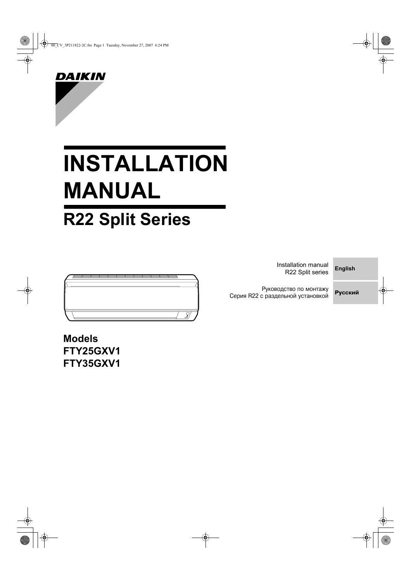00\_CV\_3P211822-2C.fm Page 1 Tuesday, November 27, 2007 6:24 PM



# **INSTALLATION MANUAL**

# **R22 Split Series**



Installation manual R22 Split series

**English**

Руководство по монтажу Серия R22 с раздельной установкой



**Models FTY25GXV1 FTY35GXV1**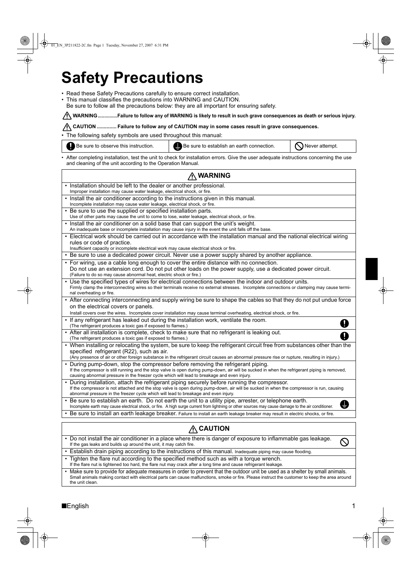# **Safety Precautions**

- Read these Safety Precautions carefully to ensure correct installation.
- This manual classifies the precautions into WARNING and CAUTION.
- Be sure to follow all the precautions below: they are all important for ensuring safety.

<u>∕ !</u>∕ WARNING ...............Failure to follow any of WARNING is likely to result in such grave consequences as death or serious injury.

**CAUTION .............. Failure to follow any of CAUTION may in some cases result in grave consequences.**

• The following safety symbols are used throughout this manual:

| Be sure to observe this instruction. | Be sure to establish an earth connection.                                                                                               | $\bigcirc$ Never attempt. |
|--------------------------------------|-----------------------------------------------------------------------------------------------------------------------------------------|---------------------------|
|                                      | · After completing installation, test the unit to check for installation errors. Give the user adequate instructions concerning the use |                           |

and cleaning of the unit according to the Operation Manual. **WARNING** • Installation should be left to the dealer or another professional. Improper installation may cause water leakage, electrical shock, or fire. Install the air conditioner according to the instructions given in this manual. Incomplete installation may cause water leakage, electrical shock, or fire. Be sure to use the supplied or specified installation parts. Use of other parts may cause the unit to come to lose, water leakage, electrical shock, or fire. Install the air conditioner on a solid base that can support the unit's weight. An inadequate base or incomplete installation may cause injury in the event the unit falls off the base • Electrical work should be carried out in accordance with the installation manual and the national electrical wiring rules or code of practice. Insufficient capacity or incomplete electrical work may cause electrical shock or fire. • Be sure to use a dedicated power circuit. Never use a power supply shared by another appliance. • For wiring, use a cable long enough to cover the entire distance with no connection. Do not use an extension cord. Do not put other loads on the power supply, use a dedicated power circuit. (Failure to do so may cause abnormal heat, electric shock or fire.) • Use the specified types of wires for electrical connections between the indoor and outdoor units. Firmly clamp the interconnecting wires so their terminals receive no external stresses. Incomplete connections or clamping may cause terminal overheating or fire. • After connecting interconnecting and supply wiring be sure to shape the cables so that they do not put undue force on the electrical covers or panels. Install covers over the wires. Incomplete cover installation may cause terminal overheating, electrical shock, or fire. If any refrigerant has leaked out during the installation work, ventilate the room.  $\mathbf 0$ (The refrigerant produces a toxic gas if exposed to flames.) • After all installation is complete, check to make sure that no refrigerant is leaking out. a (The refrigerant produces a toxic gas if exposed to flames.) • When installing or relocating the system, be sure to keep the refrigerant circuit free from substances other than the specified refrigerant (R22), such as air. (Any presence of air or other foreign substance in the refrigerant circuit causes an abnormal pressure rise or rupture, resulting in injury.) • During pump-down, stop the compressor before removing the refrigerant piping. If the compressor is still running and the stop valve is open during pump-down, air will be sucked in when the refrigerant piping is removed, causing abnormal pressure in the freezer cycle which will lead to breakage and even injury. • During installation, attach the refrigerant piping securely before running the compressor. If the compressor is not attached and the stop valve is open during pump-down, air will be sucked in when the compressor is run, causing abnormal pressure in the freezer cycle which will lead to breakage and even injury. • Be sure to establish an earth. Do not earth the unit to a utility pipe, arrester, or telephone earth. Ø Incomplete earth may cause electrical shock, or fire. A high surge current from lightning or other sources may cause damage to the air conditioner. • Be sure to install an earth leakage breaker. Failure to install an earth leakage breaker may result in electric shocks, or fire. **A**CAUTION • Do not install the air conditioner in a place where there is danger of exposure to inflammable gas leakage.  $\infty$ If the gas leaks and builds up around the unit, it may catch fire. • Establish drain piping according to the instructions of this manual. Inadequate piping may cause flooding. • Tighten the flare nut according to the specified method such as with a torque wrench.

If the flare nut is tightened too hard, the flare nut may crack after a long time and cause refrigerant leakage

Make sure to provide for adequate measures in order to prevent that the outdoor unit be used as a shelter by small animals. Small animals making contact with electrical parts can cause malfunctions, smoke or fire. Please instruct the customer to keep the area around the unit clean.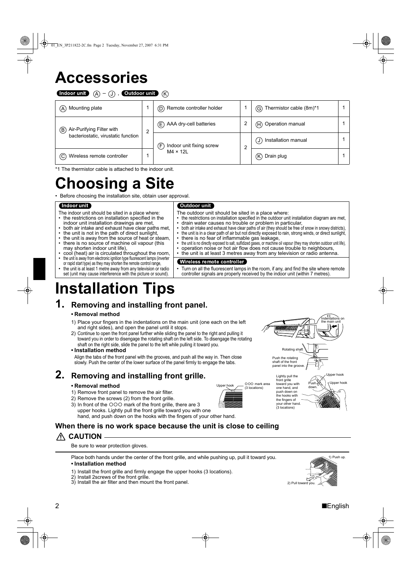# **Accessories**

Indoor unit (A) – (J), Outdoor unit (K

| (A) Mounting plate                  |                 | (D) Remote controller holder   |                  | (G) Thermistor cable (8m)*1         |  |
|-------------------------------------|-----------------|--------------------------------|------------------|-------------------------------------|--|
| Air-Purifying Filter with<br>B)     |                 | AAA dry-cell batteries<br>E)   |                  | H Operation manual                  |  |
| bacteriostatic, virustatic function |                 | Indoor unit fixing screw<br>F) | ◠                | Installation manual<br>$\mathsf{J}$ |  |
| Wireless remote controller<br>(C)   | $M4 \times 12L$ |                                | Drain plug<br>K) |                                     |  |

\*1 The thermistor cable is attached to the indoor unit.

# **Choosing a Site**

• Before choosing the installation site, obtain user approval.

#### Indoor unit

- The indoor unit should be sited in a place where
- the restrictions on installation specified in the
- indoor unit installation drawings are met, • both air intake and exhaust have clear paths met,
- the unit is not in the path of direct sunlight,
- the unit is away from the source of heat or steam,
- there is no source of machine oil vapour (this
- may shorten indoor unit life),
- cool (heat) air is circulated throughout the room, • the unit is away from electronic ignition type fluorescent lamps (inverter
- or rapid start type) as they may shorten the remote control range, • the unit is at least 1 metre away from any television or radio
- set (unit may cause interference with the picture or sound).

#### **Outdoor unit**

The outdoor unit should be sited in a place where:

- the restrictions on installation specified in the outdoor unit installation diagram are met,
- drain water causes no trouble or problem in particular,
- both air intake and exhaust have clear paths of air (they should be free of snow in snowy districts), the unit is in a clear path of air but not directly exposed to rain, strong winds, or direct sunlight,
- there is no fear of inflammable gas leakage, • the unit is no directly exposed to salt, sulfidized gases, or machine oil vapour (they may shorten outdoor unit life),
- operation noise or hot air flow does not cause trouble to neighbours,
- the unit is at least 3 metres away from any television or radio antenna.
	- Wireless remote controller
	- Turn on all the fluorescent lamps in the room, if any, and find the site where remote controller signals are properly received by the indoor unit (within 7 metres).

# **Installation Tips**

### **1. Removing and installing front panel.**

#### **• Removal method**

- 1) Place your fingers in the indentations on the main unit (one each on the left and right sides), and open the panel until it stops.
- 2) Continue to open the front panel further while sliding the panel to the right and pulling it toward you in order to disengage the rotating shaft on the left side. To disengage the rotating shaft on the right side, slide the panel to the left while pulling it toward you.
- **Installation method**
- Align the tabs of the front panel with the grooves, and push all the way in. Then close slowly. Push the center of the lower surface of the panel firmly to engage the tabs.

### **2. Removing and installing front grille.**

#### **• Removal method**

- 1) Remove front panel to remove the air filter.
- 2) Remove the screws (2) from the front grille.
- 3) In front of the OOO mark of the front grille, there are 3 upper hooks. Lightly pull the front grille toward you with one hand, and push down on the hooks with the fingers of your other hand.
- 000 mark area  $(3$  locations)



Lightly pull the front grille<br>toward you with one hand, and push down on the hooks with the fingers of your other hand. (3 locations) Push down.



Indentations on

**When there is no work space because the unit is close to ceiling**

 **CAUTION**

Be sure to wear protection gloves.

Place both hands under the center of the front grille, and while pushing up, pull it toward you.

#### **• Installation method**

- 1) Install the front grille and firmly engage the upper hooks (3 locations).
- 2) Install 2screws of the front grille.
- 3) Install the air filter and then mount the front panel.

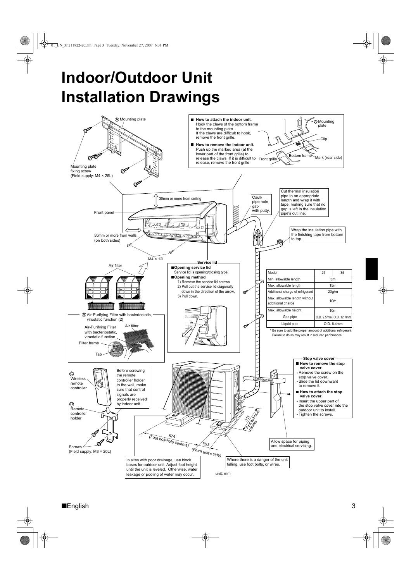# **Indoor/Outdoor Unit Installation Drawings**

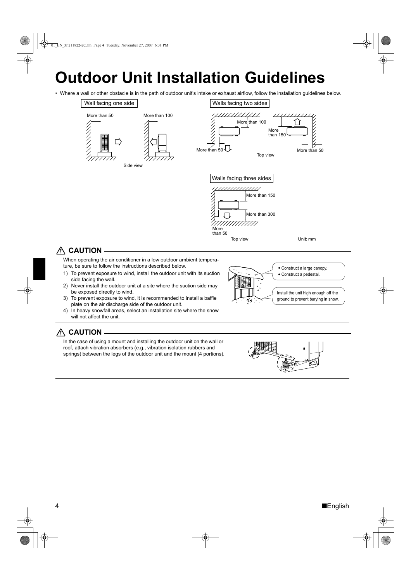# **Outdoor Unit Installation Guidelines**

• Where a wall or other obstacle is in the path of outdoor unit's intake or exhaust airflow, follow the installation guidelines below.





### **CAUTION**

When operating the air conditioner in a low outdoor ambient temperature, be sure to follow the instructions described below.

- 1) To prevent exposure to wind, install the outdoor unit with its suction side facing the wall.
- 2) Never install the outdoor unit at a site where the suction side may be exposed directly to wind.
- 3) To prevent exposure to wind, it is recommended to install a baffle plate on the air discharge side of the outdoor unit.
- 4) In heavy snowfall areas, select an installation site where the snow will not affect the unit.



### **CAUTION**

In the case of using a mount and installing the outdoor unit on the wall or roof, attach vibration absorbers (e.g., vibration isolation rubbers and springs) between the legs of the outdoor unit and the mount (4 portions).



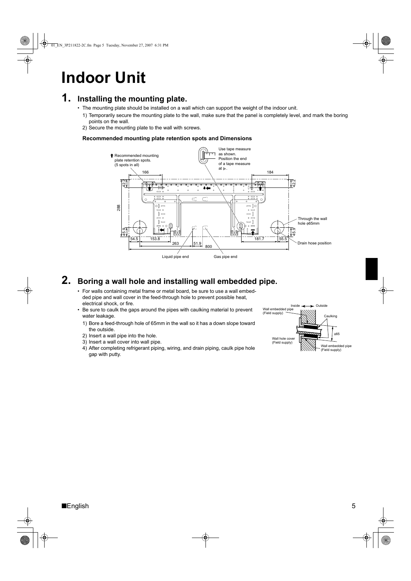# **1. Installing the mounting plate.**

- The mounting plate should be installed on a wall which can support the weight of the indoor unit.
	- 1) Temporarily secure the mounting plate to the wall, make sure that the panel is completely level, and mark the boring points on the wall.
	- 2) Secure the mounting plate to the wall with screws.

#### **Recommended mounting plate retention spots and Dimensions**



# **2. Boring a wall hole and installing wall embedded pipe.**

- For walls containing metal frame or metal board, be sure to use a wall embedded pipe and wall cover in the feed-through hole to prevent possible heat, electrical shock, or fire.
- Be sure to caulk the gaps around the pipes with caulking material to prevent water leakage.
	- 1) Bore a feed-through hole of 65mm in the wall so it has a down slope toward the outside.
	- 2) Insert a wall pipe into the hole.
	- 3) Insert a wall cover into wall pipe.
	- 4) After completing refrigerant piping, wiring, and drain piping, caulk pipe hole gap with putty.

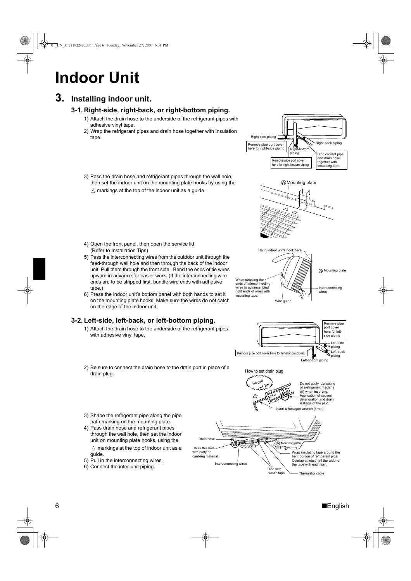01\_EN\_3P211822-2C.fm Page 6 Tuesday, November 27, 2007 6:31 PM

# **Indoor Unit**

### **3. Installing indoor unit.**

#### **3-1. Right-side, right-back, or right-bottom piping.**

- 1) Attach the drain hose to the underside of the refrigerant pipes with adhesive vinyl tape.
- 2) Wrap the refrigerant pipes and drain hose together with insulation tape.
- Right-bottom piping Right-back piping Right-side piping **Bind coolant pip** and drain hose together with insulating tape. Remove pipe port cover here for right-side piping Remove pipe port cover here for right-bottom piping

A Mounting plate

- 3) Pass the drain hose and refrigerant pipes through the wall hole, then set the indoor unit on the mounting plate hooks by using the  $\triangle$  markings at the top of the indoor unit as a guide.
- 4) Open the front panel, then open the service lid. (Refer to Installation Tips)
- 5) Pass the interconnecting wires from the outdoor unit through the feed-through wall hole and then through the back of the indoor unit. Pull them through the front side. Bend the ends of tie wires upward in advance for easier work. (If the interconnecting wire ends are to be stripped first, bundle wire ends with adhesive tape.)
- 6) Press the indoor unit's bottom panel with both hands to set it on the mounting plate hooks. Make sure the wires do not catch on the edge of the indoor unit.

#### **3-2. Left-side, left-back, or left-bottom piping.**

- 1) Attach the drain hose to the underside of the refrigerant pipes with adhesive vinyl tape.
- 2) Be sure to connect the drain hose to the drain port in place of a drain plug.





- 3) Shape the refrigerant pipe along the pipe path marking on the mounting plate.
- 4) Pass drain hose and refrigerant pipes through the wall hole, then set the indoor unit on mounting plate hooks, using the  $\triangle$  markings at the top of indoor unit as a guide.
- 5) Pull in the interconnecting wires.
- 6) Connect the inter-unit piping.

leakage of the plug. wrench (4mm) interconnecting Drain Caulk this hole with putty or caulking material. Wrap insulating tape around the bent portion of refrigerant pipe. Overlap at least half the width of the tape with each turn. Bind with<br>plastic tape **A** Mounting p<br>**Let the co** 

6 ■English

Thermistor cable

ove pip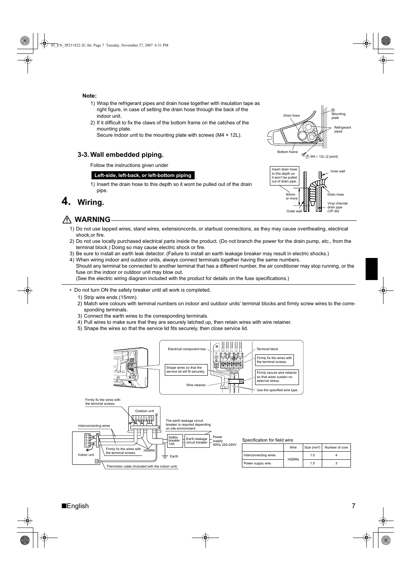#### **Note:**

- 1) Wrap the refrigerant pipes and drain hose together with insulation tape as right figure, in case of setting the drain hose through the back of the indoor unit.
- 2) If it difficult to fix the claws of the bottom frame on the catches of the mounting plate.

Secure indoor unit to the mounting plate with screws (M4 × 12L).

#### **3-3. Wall embedded piping.**

Follow the instructions given under

#### **Left-side, left-back, or left-bottom piping**

1) Insert the drain hose to this depth so it wont be pulled out of the drain pipe.

#### **4. Wiring.**

#### **WARNING**

- 1) Do not use tapped wires, stand wires, extensioncords, or starbust connections, as they may cause overtheating, electrical shock,or fire.
- 2) Do not use locally purchased electrical parts inside the product. (Do not branch the power for the drain pump, etc., from the terminal block.) Doing so may cause electric shock or fire.
- 3) Be sure to install an earth leak detector. (Failure to install an earth leakage breaker may result in electric shocks.)

.

- 4) When wiring indoor and outdoor units, always connect terminals together having the same numbers. Should any terminal be connected to another terminal that has a different number, the air conditioner may stop running, or the fuse on the indoor or outdoor unit may blow out.
- (See the electric wiring diagram included with the product for details on the fuse specifications.)

• Do not turn ON the safety breaker until all work is completed.

- 1) Strip wire ends (15mm).
- 2) Match wire colours with terminal numbers on indoor and outdoor units' terminal blocks and firmly screw wires to the corresponding terminals.
- 3) Connect the earth wires to the corresponding terminals.

Thermistor cable (Included with the indoor unit)

- 4) Pull wires to make sure that they are securely latched up, then retain wires with wire retainer.
- 5) Shape the wires so that the service lid fits securely, then close service lid.



H05RN 1.0  $\vert$  4 ver supply wire  $\begin{array}{|c|c|c|c|c|c|c|c|}\n\hline\n\text{Per supply wire} & & 1.5 & 3\n\end{array}$ 



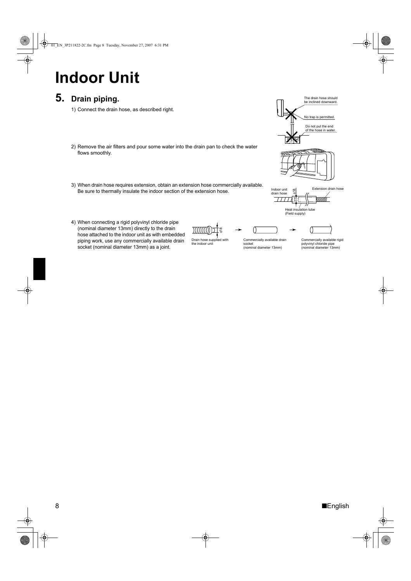01\_EN\_3P211822-2C.fm Page 8 Tuesday, November 27, 2007 6:31 PM

# **Indoor Unit**

# **5. Drain piping.**

1) Connect the drain hose, as described right.

- 2) Remove the air filters and pour some water into the drain pan to check the water flows smoothly.
- 3) When drain hose requires extension, obtain an extension hose commercially available. Be sure to thermally insulate the indoor section of the extension hose.







 $\rightarrow$ 

4) When connecting a rigid polyvinyl chloride pipe (nominal diameter 13mm) directly to the drain hose attached to the indoor unit as with embedded piping work, use any commercially available drain socket (nominal diameter 13mm) as a joint.

 $\frac{1}{6}$  $))$  $\Box$ Drain hose supplied with the indoor unit

Commercially available drain socket (nominal diameter 13mm)

0



Commercially available rigid polyvinyl chloride pipe (nominal diameter 13mm)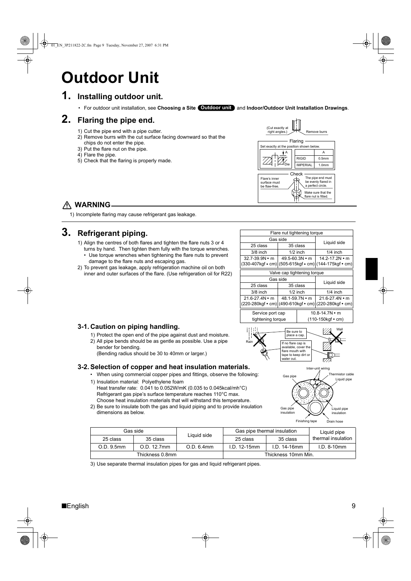# **Outdoor Unit**

### **1. Installing outdoor unit.**

**• For outdoor unit installation, see Choosing a Site (Outdoor unit) and Indoor/Outdoor Unit Installation Drawings.** 

### **2. Flaring the pipe end.**

- 1) Cut the pipe end with a pipe cutter.
- 2) Remove burrs with the cut surface facing downward so that the
- chips do not enter the pipe. 3) Put the flare nut on the pipe.
- 4) Flare the pipe.
- 5) Check that the flaring is properly made.



#### **WARNING**

1) Incomplete flaring may cause refrigerant gas leakage.

### **3. Refrigerant piping.**

- 1) Align the centres of both flares and tighten the flare nuts 3 or 4 turns by hand. Then tighten them fully with the torque wrenches.
- Use torque wrenches when tightening the flare nuts to prevent damage to the flare nuts and escaping gas.
- 2) To prevent gas leakage, apply refrigeration machine oil on both inner and outer surfaces of the flare. (Use refrigeration oil for R22)

| Flare nut tightening torque |                                                       |                                                                                     |  |  |  |
|-----------------------------|-------------------------------------------------------|-------------------------------------------------------------------------------------|--|--|--|
| Gas side                    |                                                       |                                                                                     |  |  |  |
| 25 class                    | 35 class                                              | Liquid side                                                                         |  |  |  |
| $3/8$ inch                  | $1/2$ inch                                            | $1/4$ inch                                                                          |  |  |  |
| $32.7 - 39.9N \cdot m$      | $49.5 - 60.3N$ • m                                    | 14.2-17.2N • m                                                                      |  |  |  |
|                             | (330-407kgf • cm) (505-615kgf • cm) (144-175kgf • cm) |                                                                                     |  |  |  |
| Valve cap tightening torque |                                                       |                                                                                     |  |  |  |
|                             | Gas side                                              |                                                                                     |  |  |  |
| 25 class                    | 35 class                                              | Liquid side                                                                         |  |  |  |
| $3/8$ inch                  | $1/2$ inch                                            | $1/4$ inch                                                                          |  |  |  |
| $21.6 - 27.4 N \cdot m$     | $48.1 - 59.7N \cdot m$                                | $21.6 - 27.4N \cdot m$                                                              |  |  |  |
|                             |                                                       | $(220-280\text{kgf}\cdot\text{cm})$ (490-610kgf $\cdot$ cm) (220-280kgf $\cdot$ cm) |  |  |  |

Service port cap 10.8-14.7N • m tightening torque (110-150kgf • cm)



Gas pipe insulation

Gas pipe Liquid pipe

Inter-unit wiring

Finishing tape  $\overrightarrow{D}$ 

Liquid pipe insulation

hermistor cable

#### **3-1. Caution on piping handling.**

1) Protect the open end of the pipe against dust and moisture. 2) All pipe bends should be as gentle as possible. Use a pipe bender for bending. (Bending radius should be 30 to 40mm or larger.)

#### **3-2. Selection of copper and heat insulation materials.**

- When using commercial copper pipes and fittings, observe the following: 1) Insulation material: Polyethylene foam
- Heat transfer rate: 0.041 to 0.052W/mK (0.035 to 0.045kcal/mh°C) Refrigerant gas pipe's surface temperature reaches 110°C max. Choose heat insulation materials that will withstand this temperature.
- 2) Be sure to insulate both the gas and liquid piping and to provide insulation dimensions as below.

|                 | Gas side    |             | Gas pipe thermal insulation |              | Liquid pipe        |
|-----------------|-------------|-------------|-----------------------------|--------------|--------------------|
| 25 class        | 35 class    | Liquid side | 25 class                    | 35 class     | thermal insulation |
| O.D. 9.5mm      | O.D. 12.7mm | O.D. 6.4mm  | $1.D. 12-15mm$              | $LD.14-16mm$ | $I.D. 8-10mm$      |
| Thickness 0.8mm |             |             | Thickness 10mm Min.         |              |                    |

3) Use separate thermal insulation pipes for gas and liquid refrigerant pipes.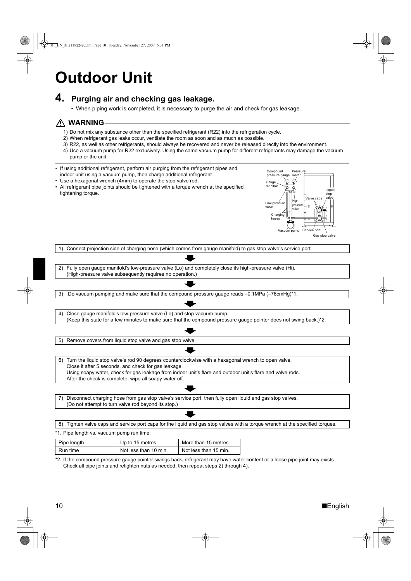# **Outdoor Unit**

### **4. Purging air and checking gas leakage.**

• When piping work is completed, it is necessary to purge the air and check for gas leakage.

#### **WARNING**

- 1) Do not mix any substance other than the specified refrigerant (R22) into the refrigeration cycle.
- 2) When refrigerant gas leaks occur, ventilate the room as soon and as much as possible.
- 3) R22, as well as other refrigerants, should always be recovered and never be released directly into the environment.
- 4) Use a vacuum pump for R22 exclusively. Using the same vacuum pump for different refrigerants may damage the vacuum pump or the unit.
- If using additional refrigerant, perform air purging from the refrigerant pipes and indoor unit using a vacuum pump, then charge additional refrigerant.
- Use a hexagonal wrench (4mm) to operate the stop valve rod.
- All refrigerant pipe joints should be tightened with a torque wrench at the specified tightening torque.



1) Connect projection side of charging hose (which comes from gauge manifold) to gas stop valve's service port.

2) Fully open gauge manifold's low-pressure valve (Lo) and completely close its high-pressure valve (Hi). (High-pressure valve subsequently requires no operation.)

3) Do vacuum pumping and make sure that the compound pressure gauge reads –0.1MPa (–76cmHg)\*1.

4) Close gauge manifold's low-pressure valve (Lo) and stop vacuum pump.

(Keep this state for a few minutes to make sure that the compound pressure gauge pointer does not swing back.)\*2.

5) Remove covers from liquid stop valve and gas stop valve.

6) Turn the liquid stop valve's rod 90 degrees counterclockwise with a hexagonal wrench to open valve. Close it after 5 seconds, and check for gas leakage. Using soapy water, check for gas leakage from indoor unit's flare and outdoor unit's flare and valve rods. After the check is complete, wipe all soapy water off.

7) Disconnect charging hose from gas stop valve's service port, then fully open liquid and gas stop valves. (Do not attempt to turn valve rod beyond its stop.)

8) Tighten valve caps and service port caps for the liquid and gas stop valves with a torque wrench at the specified torques.

| *1. Pipe length vs. vacuum pump run time |                       |                       |  |  |
|------------------------------------------|-----------------------|-----------------------|--|--|
| Pipe length                              | Up to 15 metres       | More than 15 metres   |  |  |
| Run time                                 | Not less than 10 min. | Not less than 15 min. |  |  |

\*2. If the compound pressure gauge pointer swings back, refrigerant may have water content or a loose pipe joint may exists. Check all pipe joints and retighten nuts as needed, then repeat steps 2) through 4).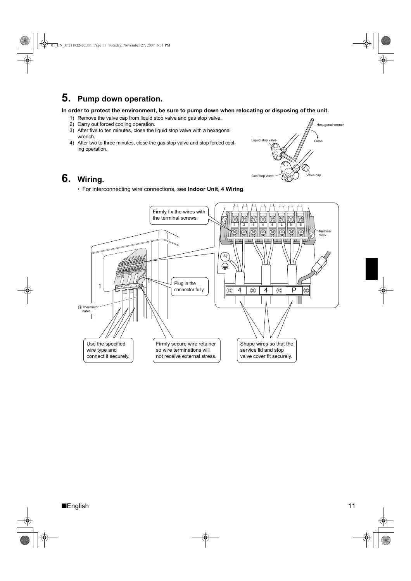# **5. Pump down operation.**

**In order to protect the environment, be sure to pump down when relocating or disposing of the unit.**

- 1) Remove the valve cap from liquid stop valve and gas stop valve.
- 2) Carry out forced cooling operation.
- 3) After five to ten minutes, close the liquid stop valve with a hexagonal wrench.
- 4) After two to three minutes, close the gas stop valve and stop forced cooling operation.



 $\frac{1}{\sqrt{2}}$ 

### **6. Wiring.**

• For interconnecting wire connections, see **Indoor Unit**, **4 Wiring**.



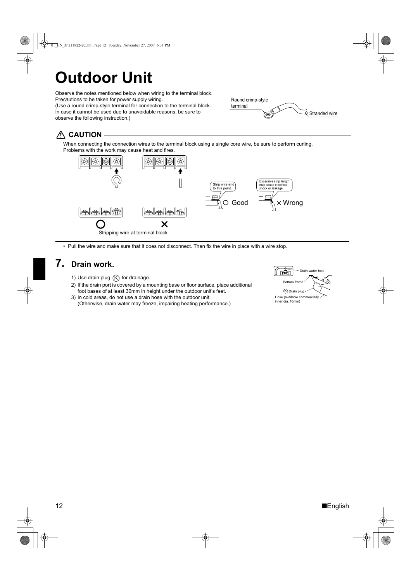# **Outdoor Unit**

Observe the notes mentioned below when wiring to the terminal block. Precautions to be taken for power supply wiring. (Use a round crimp-style terminal for connection to the terminal block. In case it cannot be used due to unavoidable reasons, be sure to



### **CAUTION**

observe the following instruction.)

When connecting the connection wires to the terminal block using a single core wire, be sure to perform curling. Problems with the work may cause heat and fires.



• Pull the wire and make sure that it does not disconnect. Then fix the wire in place with a wire stop.

### **7. Drain work.**

- 1) Use drain plug  $(K)$  for drainage.
- 2) If the drain port is covered by a mounting base or floor surface, place additional foot bases of at least 30mm in height under the outdoor unit's feet.
- 3) In cold areas, do not use a drain hose with the outdoor unit. (Otherwise, drain water may freeze, impairing heating performance.)